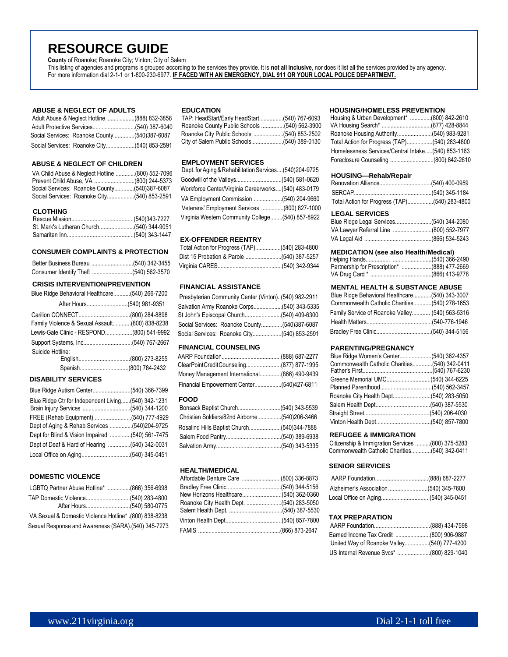## **RESOURCE GUIDE**

**Count**y of Roanoke; Roanoke City; Vinton; City of Salem

This listing of agencies and programs is grouped according to the services they provide. It is **not all inclusive**, nor does it list all the services provided by any agency. For more information dial 2-1-1 or 1-800-230-6977. **IF FACED WITH AN EMERGENCY, DIAL 911 OR YOUR LOCAL POLICE DEPARTMENT.**

#### **ABUSE & NEGLECT OF ADULTS**

|  | Adult Abuse & Neglect Hotline (888) 832-3858 |
|--|----------------------------------------------|
|  |                                              |
|  | Social Services: Roanoke County(540)387-6087 |
|  |                                              |

#### **ABUSE & NEGLECT OF CHILDREN**

|  | VA Child Abuse & Neglect Hotline (800) 552-7096 |
|--|-------------------------------------------------|
|  |                                                 |
|  | Social Services: Roanoke County(540)387-6087    |
|  | Social Services: Roanoke City(540) 853-2591     |

## **CLOTHING**

## **CONSUMER COMPLAINTS & PROTECTION**

| Consumer Identify Theft (540) 562-3570 |  |
|----------------------------------------|--|

#### **CRISIS INTERVENTION/PREVENTION**

| Blue Ridge Behavioral Healthcare(540) 266-7200 |  |
|------------------------------------------------|--|
| After Hours(540) 981-9351                      |  |
|                                                |  |
| Family Violence & Sexual Assault(800) 838-8238 |  |
| Lewis-Gale Clinic - RESPOND(800) 541-9992      |  |
|                                                |  |
| Suicide Hotline:                               |  |
|                                                |  |
|                                                |  |

## **DISABILITY SERVICES**

| Blue Ridge Ctr for Independent Living(540) 342-1231 |  |
|-----------------------------------------------------|--|
|                                                     |  |
|                                                     |  |
| Dept of Aging & Rehab Services (540)204-9725        |  |
| Dept for Blind & Vision Impaired (540) 561-7475     |  |
| Dept of Deaf & Hard of Hearing (540) 342-0031       |  |
|                                                     |  |

## **DOMESTIC VIOLENCE**

| LGBTQ Partner Abuse Hotline* (866) 356-6998           |  |
|-------------------------------------------------------|--|
|                                                       |  |
|                                                       |  |
| VA Sexual & Domestic Violence Hotline* (800) 838-8238 |  |
| Sexual Response and Awareness (SARA).(540) 345-7273   |  |

## **EDUCATION**

| TAP: HeadStart/Early HeadStart(540) 767-6093 |  |
|----------------------------------------------|--|
| Roanoke County Public Schools (540) 562-3900 |  |
| Roanoke City Public Schools (540) 853-2502   |  |
|                                              |  |

## **EMPLOYMENT SERVICES**

| Dept. for Aging & Rehabilitation Services(540)204-9725 |  |
|--------------------------------------------------------|--|
|                                                        |  |
| Workforce Center/Virginia Careerworks(540) 483-0179    |  |
|                                                        |  |
| Veterans' Employment Services (800) 827-1000           |  |
| Virginia Western Community College(540) 857-8922       |  |
|                                                        |  |

#### **EX-OFFENDER REENTRY**

## **FINANCIAL ASSISTANCE**

| Blue Ridge Benavioral Healthcare(540) 266-7200 | Presbyterian Community Center (Vinton)(540) 982-2911 | Blue Ridge Behavioral Healthcare(540) 343-3007  |
|------------------------------------------------|------------------------------------------------------|-------------------------------------------------|
|                                                |                                                      | Commonwealth Catholic Charities(540) 278-1653   |
|                                                |                                                      | Family Service of Roanoke Valley (540) 563-5316 |
| Family Violence & Sexual Assault(800) 838-8238 |                                                      |                                                 |
| Lewis-Gale Clinic - RESPOND(800) 541-9992      |                                                      |                                                 |

## **FINANCIAL COUNSELING**

| ClearPointCreditCounseling(877) 877-1995     |  |
|----------------------------------------------|--|
| Money Management International(866) 490-9439 |  |
|                                              |  |

#### **FOOD**

| Rosalind Hills Baptist Church(540)344-7888 |  |
|--------------------------------------------|--|
|                                            |  |
|                                            |  |

#### **HEALTH/MEDICAL**

#### **HOUSING/HOMELESS PREVENTION**

| Housing & Urban Development* (800) 842-2610        |  |
|----------------------------------------------------|--|
|                                                    |  |
|                                                    |  |
|                                                    |  |
| Homelessness Services/Central Intake(540) 853-1163 |  |
| Foreclosure Counseling (800) 842-2610              |  |

#### **HOUSING—Rehab/Repair**

| Total Action for Progress (TAP)(540) 283-4800 |  |
|-----------------------------------------------|--|

#### **LEGAL SERVICES**

| VA Lawyer Referral Line (800) 552-7977 |  |
|----------------------------------------|--|
|                                        |  |

#### **MEDICATION (see also Health/Medical)**

## **MENTAL HEALTH & SUBSTANCE ABUSE**

| Blue Ridge Behavioral Healthcare(540) 343-3007  |  |
|-------------------------------------------------|--|
| Commonwealth Catholic Charities(540) 278-1653   |  |
| Family Service of Roanoke Valley (540) 563-5316 |  |
|                                                 |  |
|                                                 |  |

#### **PARENTING/PREGNANCY**

| Commonwealth Catholic Charities(540) 342-0411 |  |
|-----------------------------------------------|--|
|                                               |  |
|                                               |  |
|                                               |  |
|                                               |  |
|                                               |  |
|                                               |  |
|                                               |  |

#### **REFUGEE & IMMIGRATION**

| Citizenship & Immigration Services (800) 375-5283 |  |
|---------------------------------------------------|--|
| Commonwealth Catholic Charities(540) 342-0411     |  |

## **SENIOR SERVICES**

## **TAX PREPARATION**